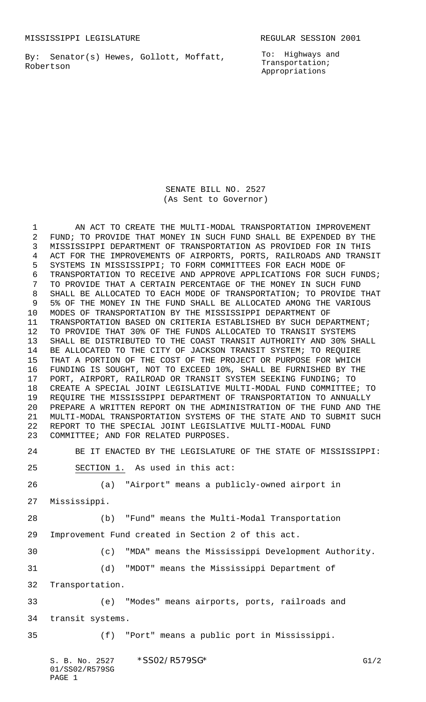MISSISSIPPI LEGISLATURE **REGULAR SESSION 2001** 

By: Senator(s) Hewes, Gollott, Moffatt, Robertson

To: Highways and Transportation; Appropriations

SENATE BILL NO. 2527 (As Sent to Governor)

1 AN ACT TO CREATE THE MULTI-MODAL TRANSPORTATION IMPROVEMENT FUND; TO PROVIDE THAT MONEY IN SUCH FUND SHALL BE EXPENDED BY THE MISSISSIPPI DEPARTMENT OF TRANSPORTATION AS PROVIDED FOR IN THIS ACT FOR THE IMPROVEMENTS OF AIRPORTS, PORTS, RAILROADS AND TRANSIT SYSTEMS IN MISSISSIPPI; TO FORM COMMITTEES FOR EACH MODE OF TRANSPORTATION TO RECEIVE AND APPROVE APPLICATIONS FOR SUCH FUNDS; TO PROVIDE THAT A CERTAIN PERCENTAGE OF THE MONEY IN SUCH FUND SHALL BE ALLOCATED TO EACH MODE OF TRANSPORTATION; TO PROVIDE THAT 5% OF THE MONEY IN THE FUND SHALL BE ALLOCATED AMONG THE VARIOUS MODES OF TRANSPORTATION BY THE MISSISSIPPI DEPARTMENT OF TRANSPORTATION BASED ON CRITERIA ESTABLISHED BY SUCH DEPARTMENT; TO PROVIDE THAT 30% OF THE FUNDS ALLOCATED TO TRANSIT SYSTEMS SHALL BE DISTRIBUTED TO THE COAST TRANSIT AUTHORITY AND 30% SHALL BE ALLOCATED TO THE CITY OF JACKSON TRANSIT SYSTEM; TO REQUIRE THAT A PORTION OF THE COST OF THE PROJECT OR PURPOSE FOR WHICH FUNDING IS SOUGHT, NOT TO EXCEED 10%, SHALL BE FURNISHED BY THE PORT, AIRPORT, RAILROAD OR TRANSIT SYSTEM SEEKING FUNDING; TO CREATE A SPECIAL JOINT LEGISLATIVE MULTI-MODAL FUND COMMITTEE; TO REQUIRE THE MISSISSIPPI DEPARTMENT OF TRANSPORTATION TO ANNUALLY PREPARE A WRITTEN REPORT ON THE ADMINISTRATION OF THE FUND AND THE MULTI-MODAL TRANSPORTATION SYSTEMS OF THE STATE AND TO SUBMIT SUCH REPORT TO THE SPECIAL JOINT LEGISLATIVE MULTI-MODAL FUND COMMITTEE; AND FOR RELATED PURPOSES.

BE IT ENACTED BY THE LEGISLATURE OF THE STATE OF MISSISSIPPI:

SECTION 1. As used in this act:

(a) "Airport" means a publicly-owned airport in

Mississippi.

(b) "Fund" means the Multi-Modal Transportation

- Improvement Fund created in Section 2 of this act.
- (c) "MDA" means the Mississippi Development Authority.
- (d) "MDOT" means the Mississippi Department of
- Transportation.

 (e) "Modes" means airports, ports, railroads and transit systems.

(f) "Port" means a public port in Mississippi.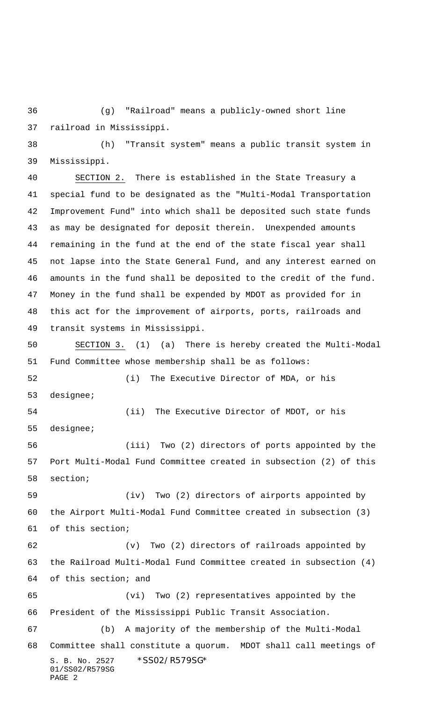(g) "Railroad" means a publicly-owned short line railroad in Mississippi.

 (h) "Transit system" means a public transit system in Mississippi.

 SECTION 2. There is established in the State Treasury a special fund to be designated as the "Multi-Modal Transportation Improvement Fund" into which shall be deposited such state funds as may be designated for deposit therein. Unexpended amounts remaining in the fund at the end of the state fiscal year shall not lapse into the State General Fund, and any interest earned on amounts in the fund shall be deposited to the credit of the fund. Money in the fund shall be expended by MDOT as provided for in this act for the improvement of airports, ports, railroads and transit systems in Mississippi.

 SECTION 3. (1) (a) There is hereby created the Multi-Modal Fund Committee whose membership shall be as follows: (i) The Executive Director of MDA, or his designee; (ii) The Executive Director of MDOT, or his designee; (iii) Two (2) directors of ports appointed by the Port Multi-Modal Fund Committee created in subsection (2) of this section; (iv) Two (2) directors of airports appointed by the Airport Multi-Modal Fund Committee created in subsection (3) of this section; (v) Two (2) directors of railroads appointed by the Railroad Multi-Modal Fund Committee created in subsection (4) of this section; and (vi) Two (2) representatives appointed by the President of the Mississippi Public Transit Association. (b) A majority of the membership of the Multi-Modal Committee shall constitute a quorum. MDOT shall call meetings of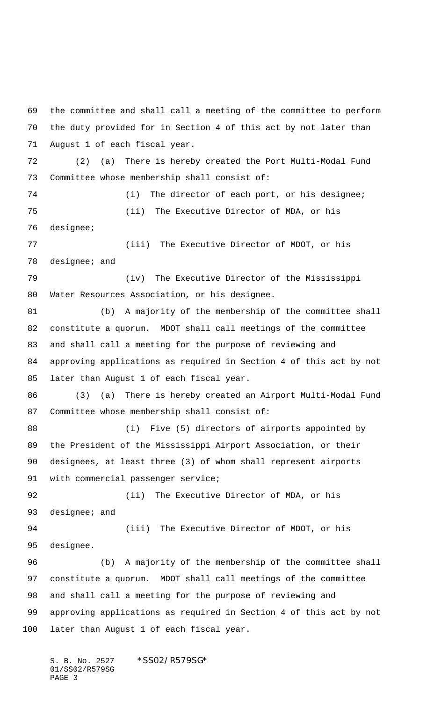the committee and shall call a meeting of the committee to perform the duty provided for in Section 4 of this act by not later than August 1 of each fiscal year. (2) (a) There is hereby created the Port Multi-Modal Fund Committee whose membership shall consist of: (i) The director of each port, or his designee; (ii) The Executive Director of MDA, or his designee; (iii) The Executive Director of MDOT, or his designee; and (iv) The Executive Director of the Mississippi Water Resources Association, or his designee. (b) A majority of the membership of the committee shall constitute a quorum. MDOT shall call meetings of the committee and shall call a meeting for the purpose of reviewing and approving applications as required in Section 4 of this act by not later than August 1 of each fiscal year. (3) (a) There is hereby created an Airport Multi-Modal Fund Committee whose membership shall consist of: (i) Five (5) directors of airports appointed by the President of the Mississippi Airport Association, or their designees, at least three (3) of whom shall represent airports 91 with commercial passenger service; (ii) The Executive Director of MDA, or his 93 designee; and (iii) The Executive Director of MDOT, or his designee. (b) A majority of the membership of the committee shall constitute a quorum. MDOT shall call meetings of the committee and shall call a meeting for the purpose of reviewing and approving applications as required in Section 4 of this act by not later than August 1 of each fiscal year.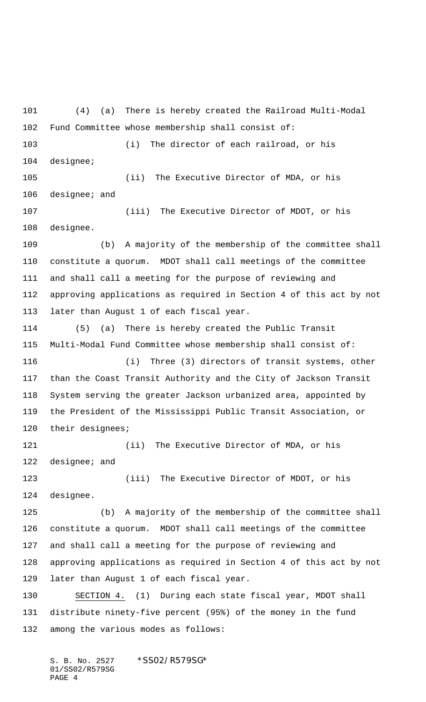(4) (a) There is hereby created the Railroad Multi-Modal Fund Committee whose membership shall consist of: (i) The director of each railroad, or his designee; (ii) The Executive Director of MDA, or his designee; and (iii) The Executive Director of MDOT, or his designee. (b) A majority of the membership of the committee shall constitute a quorum. MDOT shall call meetings of the committee and shall call a meeting for the purpose of reviewing and approving applications as required in Section 4 of this act by not later than August 1 of each fiscal year. (5) (a) There is hereby created the Public Transit Multi-Modal Fund Committee whose membership shall consist of: (i) Three (3) directors of transit systems, other than the Coast Transit Authority and the City of Jackson Transit System serving the greater Jackson urbanized area, appointed by the President of the Mississippi Public Transit Association, or their designees; 121 (ii) The Executive Director of MDA, or his 122 designee; and (iii) The Executive Director of MDOT, or his designee. (b) A majority of the membership of the committee shall constitute a quorum. MDOT shall call meetings of the committee and shall call a meeting for the purpose of reviewing and approving applications as required in Section 4 of this act by not later than August 1 of each fiscal year. SECTION 4. (1) During each state fiscal year, MDOT shall distribute ninety-five percent (95%) of the money in the fund among the various modes as follows: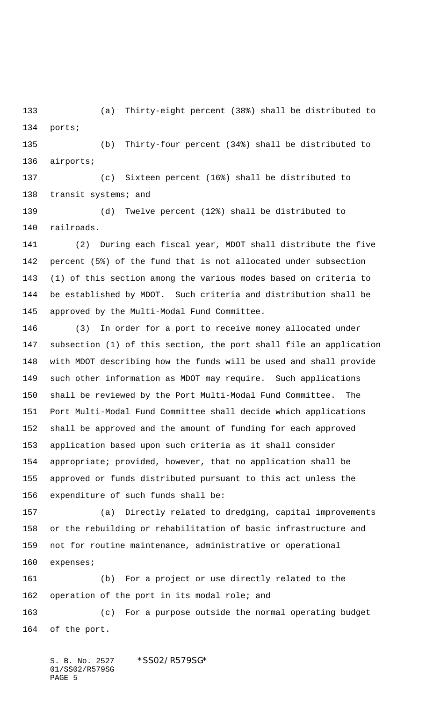(a) Thirty-eight percent (38%) shall be distributed to ports;

 (b) Thirty-four percent (34%) shall be distributed to airports;

 (c) Sixteen percent (16%) shall be distributed to 138 transit systems; and

 (d) Twelve percent (12%) shall be distributed to railroads.

 (2) During each fiscal year, MDOT shall distribute the five percent (5%) of the fund that is not allocated under subsection (1) of this section among the various modes based on criteria to be established by MDOT. Such criteria and distribution shall be approved by the Multi-Modal Fund Committee.

 (3) In order for a port to receive money allocated under subsection (1) of this section, the port shall file an application with MDOT describing how the funds will be used and shall provide such other information as MDOT may require. Such applications shall be reviewed by the Port Multi-Modal Fund Committee. The Port Multi-Modal Fund Committee shall decide which applications shall be approved and the amount of funding for each approved application based upon such criteria as it shall consider appropriate; provided, however, that no application shall be approved or funds distributed pursuant to this act unless the expenditure of such funds shall be:

 (a) Directly related to dredging, capital improvements or the rebuilding or rehabilitation of basic infrastructure and not for routine maintenance, administrative or operational expenses;

 (b) For a project or use directly related to the operation of the port in its modal role; and (c) For a purpose outside the normal operating budget of the port.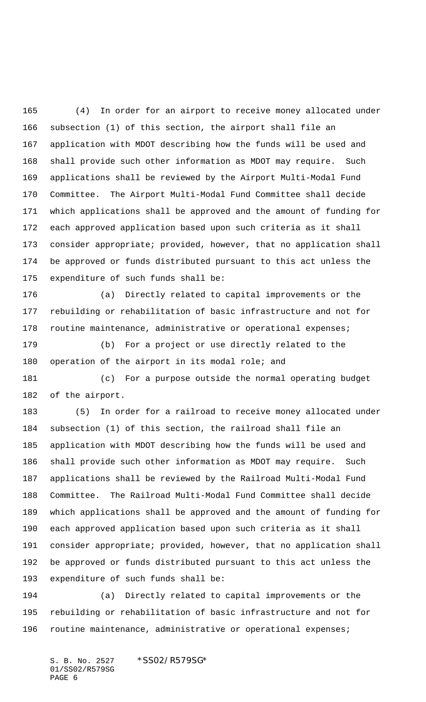(4) In order for an airport to receive money allocated under subsection (1) of this section, the airport shall file an application with MDOT describing how the funds will be used and shall provide such other information as MDOT may require. Such applications shall be reviewed by the Airport Multi-Modal Fund Committee. The Airport Multi-Modal Fund Committee shall decide which applications shall be approved and the amount of funding for each approved application based upon such criteria as it shall consider appropriate; provided, however, that no application shall be approved or funds distributed pursuant to this act unless the expenditure of such funds shall be:

 (a) Directly related to capital improvements or the rebuilding or rehabilitation of basic infrastructure and not for 178 routine maintenance, administrative or operational expenses;

 (b) For a project or use directly related to the 180 operation of the airport in its modal role; and

 (c) For a purpose outside the normal operating budget of the airport.

 (5) In order for a railroad to receive money allocated under subsection (1) of this section, the railroad shall file an application with MDOT describing how the funds will be used and shall provide such other information as MDOT may require. Such applications shall be reviewed by the Railroad Multi-Modal Fund Committee. The Railroad Multi-Modal Fund Committee shall decide which applications shall be approved and the amount of funding for each approved application based upon such criteria as it shall consider appropriate; provided, however, that no application shall be approved or funds distributed pursuant to this act unless the expenditure of such funds shall be:

 (a) Directly related to capital improvements or the rebuilding or rehabilitation of basic infrastructure and not for 196 routine maintenance, administrative or operational expenses;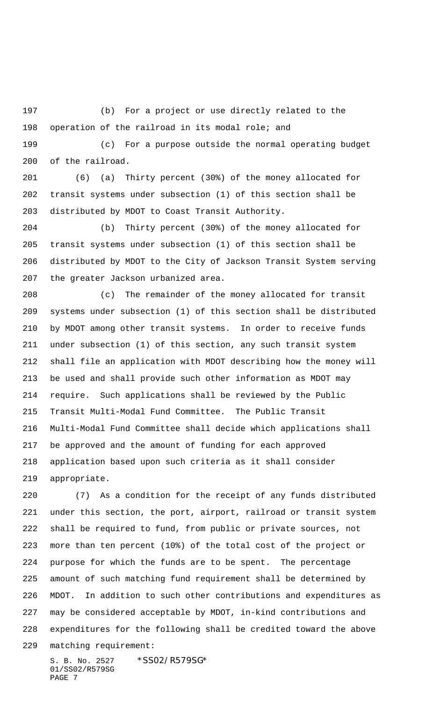(b) For a project or use directly related to the operation of the railroad in its modal role; and

 (c) For a purpose outside the normal operating budget of the railroad.

 (6) (a) Thirty percent (30%) of the money allocated for transit systems under subsection (1) of this section shall be distributed by MDOT to Coast Transit Authority.

 (b) Thirty percent (30%) of the money allocated for transit systems under subsection (1) of this section shall be distributed by MDOT to the City of Jackson Transit System serving the greater Jackson urbanized area.

 (c) The remainder of the money allocated for transit systems under subsection (1) of this section shall be distributed by MDOT among other transit systems. In order to receive funds under subsection (1) of this section, any such transit system shall file an application with MDOT describing how the money will be used and shall provide such other information as MDOT may require. Such applications shall be reviewed by the Public Transit Multi-Modal Fund Committee. The Public Transit Multi-Modal Fund Committee shall decide which applications shall be approved and the amount of funding for each approved application based upon such criteria as it shall consider appropriate.

 (7) As a condition for the receipt of any funds distributed under this section, the port, airport, railroad or transit system shall be required to fund, from public or private sources, not more than ten percent (10%) of the total cost of the project or purpose for which the funds are to be spent. The percentage amount of such matching fund requirement shall be determined by MDOT. In addition to such other contributions and expenditures as may be considered acceptable by MDOT, in-kind contributions and expenditures for the following shall be credited toward the above matching requirement: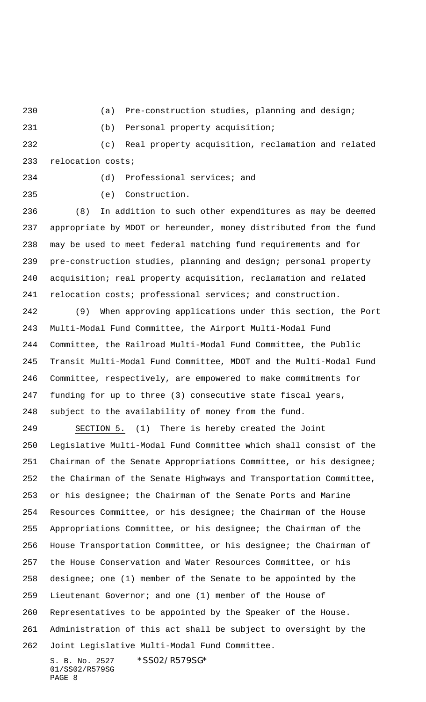(a) Pre-construction studies, planning and design;

(b) Personal property acquisition;

 (c) Real property acquisition, reclamation and related relocation costs;

(d) Professional services; and

(e) Construction.

 (8) In addition to such other expenditures as may be deemed appropriate by MDOT or hereunder, money distributed from the fund may be used to meet federal matching fund requirements and for pre-construction studies, planning and design; personal property acquisition; real property acquisition, reclamation and related 241 relocation costs; professional services; and construction.

 (9) When approving applications under this section, the Port Multi-Modal Fund Committee, the Airport Multi-Modal Fund Committee, the Railroad Multi-Modal Fund Committee, the Public Transit Multi-Modal Fund Committee, MDOT and the Multi-Modal Fund Committee, respectively, are empowered to make commitments for funding for up to three (3) consecutive state fiscal years, subject to the availability of money from the fund.

 SECTION 5. (1) There is hereby created the Joint Legislative Multi-Modal Fund Committee which shall consist of the Chairman of the Senate Appropriations Committee, or his designee; the Chairman of the Senate Highways and Transportation Committee, or his designee; the Chairman of the Senate Ports and Marine Resources Committee, or his designee; the Chairman of the House Appropriations Committee, or his designee; the Chairman of the House Transportation Committee, or his designee; the Chairman of the House Conservation and Water Resources Committee, or his designee; one (1) member of the Senate to be appointed by the Lieutenant Governor; and one (1) member of the House of Representatives to be appointed by the Speaker of the House. Administration of this act shall be subject to oversight by the Joint Legislative Multi-Modal Fund Committee.